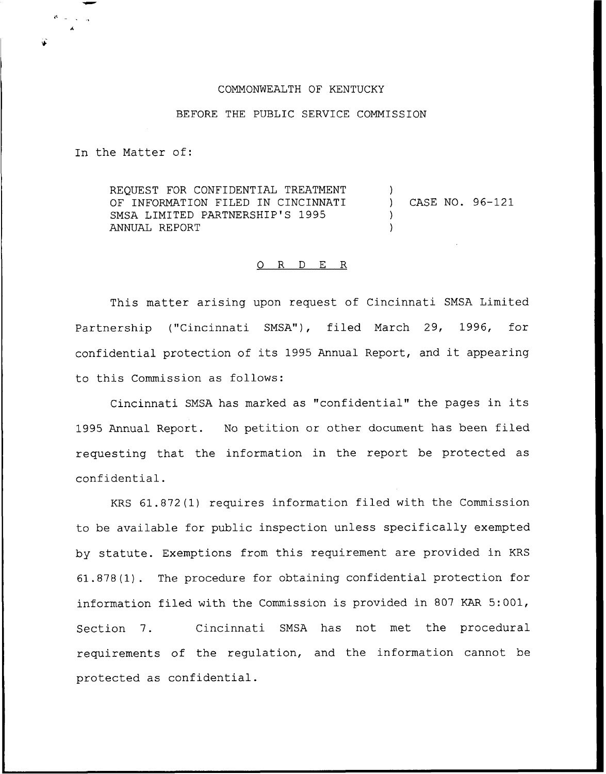## COMMONWEALTH OF KENTUCKY

## BEFORE THE PUBLIC SERVICE COMMISSION

In the Matter of:

REQUEST FOR CONFIDENTIAL TREATMENT OF INFORMATION FILED IN CINCINNATI SMSA LIMITED PARTNERSHIP'S 1995 ANNUAL REPORT ) CASE NO. 96-121 ) )

## 0 R <sup>D</sup> E R

This matter arising upon request of Cincinnati SMSA Limited Partnership ("Cincinnati SMSA"), filed March 29, 1996, for confidential protection of its <sup>1995</sup> Annual Report, and it appearing to this Commission as follows:

Cincinnati SMSA has marked as "confidential" the pages in its 1995 Annual Report. No petition or other document has been filed requesting that the information in the report be protected as confidential.

KRS 61.872(1) requires information filed with the Commission to be available for public inspection unless specifically exempted by statute. Exemptions from this requirement are provided in KRS 61.878(1). The procedure for obtaining confidential protection for information filed with the Commission is provided in 807 KAR 5:001, Section 7. Cincinnati SMSA has not met the procedural requirements of the regulation, and the information cannot be protected as confidential.